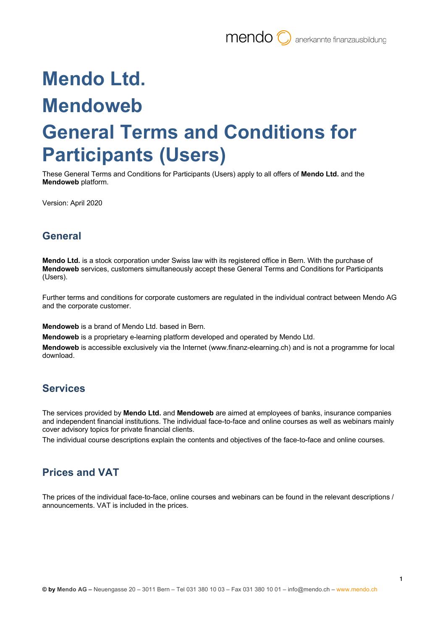# **Mendo Ltd. Mendoweb General Terms and Conditions for Participants (Users)**

These General Terms and Conditions for Participants (Users) apply to all offers of **Mendo Ltd.** and the **Mendoweb** platform.

Version: April 2020

## **General**

**Mendo Ltd.** is a stock corporation under Swiss law with its registered office in Bern. With the purchase of **Mendoweb** services, customers simultaneously accept these General Terms and Conditions for Participants (Users).

Further terms and conditions for corporate customers are regulated in the individual contract between Mendo AG and the corporate customer.

**Mendoweb** is a brand of Mendo Ltd. based in Bern.

**Mendoweb** is a proprietary e-learning platform developed and operated by Mendo Ltd.

**Mendoweb** is accessible exclusively via the Internet (www.finanz-elearning.ch) and is not a programme for local download.

#### **Services**

The services provided by **Mendo Ltd.** and **Mendoweb** are aimed at employees of banks, insurance companies and independent financial institutions. The individual face-to-face and online courses as well as webinars mainly cover advisory topics for private financial clients.

The individual course descriptions explain the contents and objectives of the face-to-face and online courses.

# **Prices and VAT**

The prices of the individual face-to-face, online courses and webinars can be found in the relevant descriptions / announcements. VAT is included in the prices.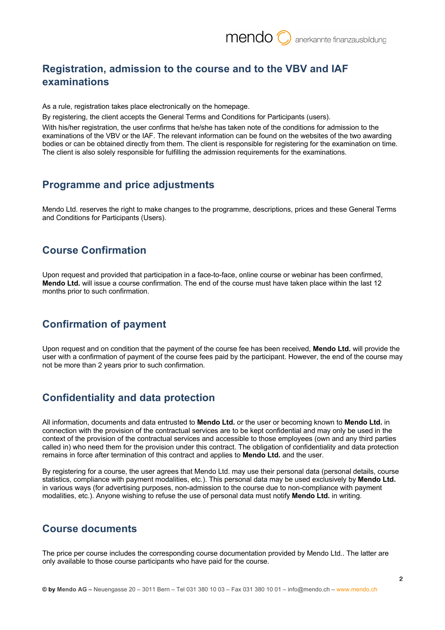# **Registration, admission to the course and to the VBV and IAF examinations**

As a rule, registration takes place electronically on the homepage.

By registering, the client accepts the General Terms and Conditions for Participants (users).

With his/her registration, the user confirms that he/she has taken note of the conditions for admission to the examinations of the VBV or the IAF. The relevant information can be found on the websites of the two awarding bodies or can be obtained directly from them. The client is responsible for registering for the examination on time. The client is also solely responsible for fulfilling the admission requirements for the examinations.

#### **Programme and price adjustments**

Mendo Ltd. reserves the right to make changes to the programme, descriptions, prices and these General Terms and Conditions for Participants (Users).

## **Course Confirmation**

Upon request and provided that participation in a face-to-face, online course or webinar has been confirmed, **Mendo Ltd.** will issue a course confirmation. The end of the course must have taken place within the last 12 months prior to such confirmation.

#### **Confirmation of payment**

Upon request and on condition that the payment of the course fee has been received, **Mendo Ltd.** will provide the user with a confirmation of payment of the course fees paid by the participant. However, the end of the course may not be more than 2 years prior to such confirmation.

#### **Confidentiality and data protection**

All information, documents and data entrusted to **Mendo Ltd.** or the user or becoming known to **Mendo Ltd.** in connection with the provision of the contractual services are to be kept confidential and may only be used in the context of the provision of the contractual services and accessible to those employees (own and any third parties called in) who need them for the provision under this contract. The obligation of confidentiality and data protection remains in force after termination of this contract and applies to **Mendo Ltd.** and the user.

By registering for a course, the user agrees that Mendo Ltd. may use their personal data (personal details, course statistics, compliance with payment modalities, etc.). This personal data may be used exclusively by **Mendo Ltd.** in various ways (for advertising purposes, non-admission to the course due to non-compliance with payment modalities, etc.). Anyone wishing to refuse the use of personal data must notify **Mendo Ltd.** in writing.

#### **Course documents**

The price per course includes the corresponding course documentation provided by Mendo Ltd.. The latter are only available to those course participants who have paid for the course.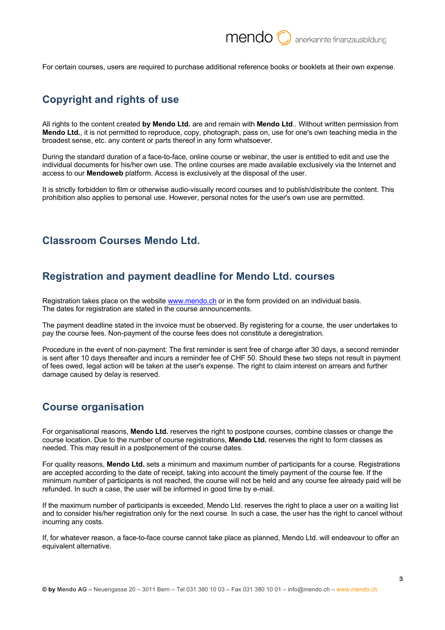For certain courses, users are required to purchase additional reference books or booklets at their own expense.

## **Copyright and rights of use**

All rights to the content created **by Mendo Ltd.** are and remain with **Mendo Ltd**.. Without written permission from **Mendo Ltd.**, it is not permitted to reproduce, copy, photograph, pass on, use for one's own teaching media in the broadest sense, etc. any content or parts thereof in any form whatsoever.

During the standard duration of a face-to-face, online course or webinar, the user is entitled to edit and use the individual documents for his/her own use. The online courses are made available exclusively via the Internet and access to our **Mendoweb** platform. Access is exclusively at the disposal of the user.

It is strictly forbidden to film or otherwise audio-visually record courses and to publish/distribute the content. This prohibition also applies to personal use. However, personal notes for the user's own use are permitted.

#### **Classroom Courses Mendo Ltd.**

#### **Registration and payment deadline for Mendo Ltd. courses**

Registration takes place on the website www.mendo.ch or in the form provided on an individual basis. The dates for registration are stated in the course announcements.

The payment deadline stated in the invoice must be observed. By registering for a course, the user undertakes to pay the course fees. Non-payment of the course fees does not constitute a deregistration.

Procedure in the event of non-payment: The first reminder is sent free of charge after 30 days, a second reminder is sent after 10 days thereafter and incurs a reminder fee of CHF 50. Should these two steps not result in payment of fees owed, legal action will be taken at the user's expense. The right to claim interest on arrears and further damage caused by delay is reserved.

#### **Course organisation**

For organisational reasons, **Mendo Ltd.** reserves the right to postpone courses, combine classes or change the course location. Due to the number of course registrations, **Mendo Ltd.** reserves the right to form classes as needed. This may result in a postponement of the course dates.

For quality reasons, **Mendo Ltd.** sets a minimum and maximum number of participants for a course. Registrations are accepted according to the date of receipt, taking into account the timely payment of the course fee. If the minimum number of participants is not reached, the course will not be held and any course fee already paid will be refunded. In such a case, the user will be informed in good time by e-mail.

If the maximum number of participants is exceeded, Mendo Ltd. reserves the right to place a user on a waiting list and to consider his/her registration only for the next course. In such a case, the user has the right to cancel without incurring any costs.

If, for whatever reason, a face-to-face course cannot take place as planned, Mendo Ltd. will endeavour to offer an equivalent alternative.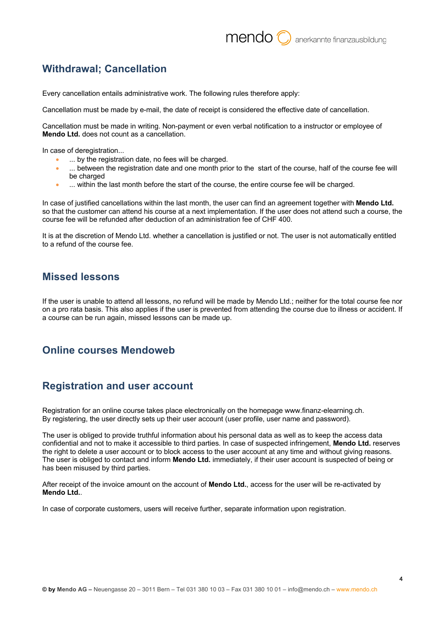## **Withdrawal; Cancellation**

Every cancellation entails administrative work. The following rules therefore apply:

Cancellation must be made by e-mail, the date of receipt is considered the effective date of cancellation.

Cancellation must be made in writing. Non-payment or even verbal notification to a instructor or employee of **Mendo Ltd.** does not count as a cancellation.

In case of deregistration...

- ... by the registration date, no fees will be charged.
- ... between the registration date and one month prior to the start of the course, half of the course fee will be charged
- ... within the last month before the start of the course, the entire course fee will be charged.

In case of justified cancellations within the last month, the user can find an agreement together with **Mendo Ltd.** so that the customer can attend his course at a next implementation. If the user does not attend such a course, the course fee will be refunded after deduction of an administration fee of CHF 400.

It is at the discretion of Mendo Ltd. whether a cancellation is justified or not. The user is not automatically entitled to a refund of the course fee.

#### **Missed lessons**

If the user is unable to attend all lessons, no refund will be made by Mendo Ltd.; neither for the total course fee nor on a pro rata basis. This also applies if the user is prevented from attending the course due to illness or accident. If a course can be run again, missed lessons can be made up.

#### **Online courses Mendoweb**

#### **Registration and user account**

Registration for an online course takes place electronically on the homepage www.finanz-elearning.ch. By registering, the user directly sets up their user account (user profile, user name and password).

The user is obliged to provide truthful information about his personal data as well as to keep the access data confidential and not to make it accessible to third parties. In case of suspected infringement, **Mendo Ltd.** reserves the right to delete a user account or to block access to the user account at any time and without giving reasons. The user is obliged to contact and inform **Mendo Ltd.** immediately, if their user account is suspected of being or has been misused by third parties.

After receipt of the invoice amount on the account of **Mendo Ltd.**, access for the user will be re-activated by **Mendo Ltd.**.

In case of corporate customers, users will receive further, separate information upon registration.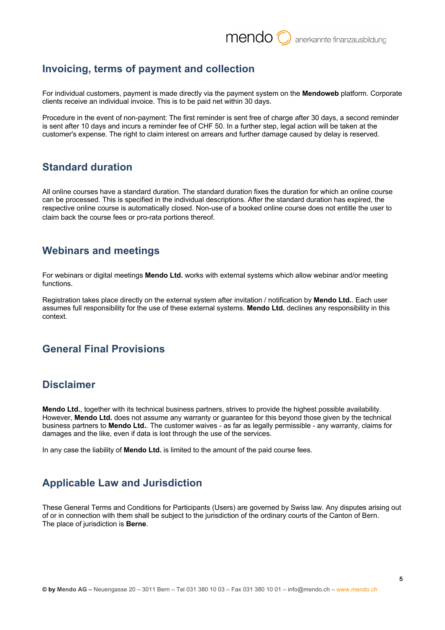#### **Invoicing, terms of payment and collection**

For individual customers, payment is made directly via the payment system on the **Mendoweb** platform. Corporate clients receive an individual invoice. This is to be paid net within 30 days.

Procedure in the event of non-payment: The first reminder is sent free of charge after 30 days, a second reminder is sent after 10 days and incurs a reminder fee of CHF 50. In a further step, legal action will be taken at the customer's expense. The right to claim interest on arrears and further damage caused by delay is reserved.

## **Standard duration**

All online courses have a standard duration. The standard duration fixes the duration for which an online course can be processed. This is specified in the individual descriptions. After the standard duration has expired, the respective online course is automatically closed. Non-use of a booked online course does not entitle the user to claim back the course fees or pro-rata portions thereof.

## **Webinars and meetings**

For webinars or digital meetings **Mendo Ltd.** works with external systems which allow webinar and/or meeting functions.

Registration takes place directly on the external system after invitation / notification by **Mendo Ltd.**. Each user assumes full responsibility for the use of these external systems. **Mendo Ltd.** declines any responsibility in this context.

## **General Final Provisions**

#### **Disclaimer**

**Mendo Ltd.**, together with its technical business partners, strives to provide the highest possible availability. However, **Mendo Ltd.** does not assume any warranty or guarantee for this beyond those given by the technical business partners to **Mendo Ltd.**. The customer waives - as far as legally permissible - any warranty, claims for damages and the like, even if data is lost through the use of the services.

In any case the liability of **Mendo Ltd.** is limited to the amount of the paid course fees.

# **Applicable Law and Jurisdiction**

These General Terms and Conditions for Participants (Users) are governed by Swiss law. Any disputes arising out of or in connection with them shall be subject to the jurisdiction of the ordinary courts of the Canton of Bern. The place of jurisdiction is **Berne**.